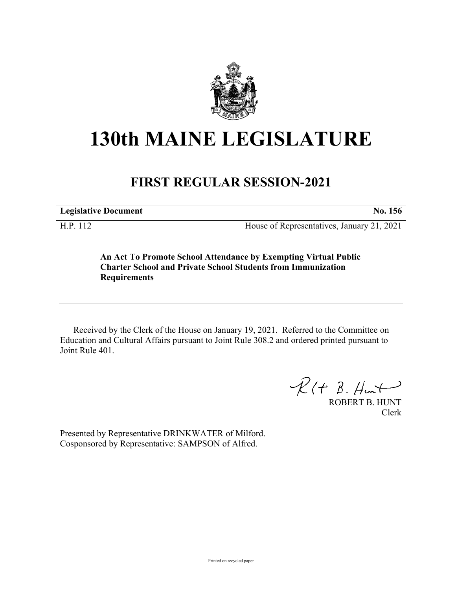

## **130th MAINE LEGISLATURE**

## **FIRST REGULAR SESSION-2021**

**Legislative Document No. 156**

H.P. 112 House of Representatives, January 21, 2021

**An Act To Promote School Attendance by Exempting Virtual Public Charter School and Private School Students from Immunization Requirements**

Received by the Clerk of the House on January 19, 2021. Referred to the Committee on Education and Cultural Affairs pursuant to Joint Rule 308.2 and ordered printed pursuant to Joint Rule 401.

 $R(H B. H<sub>un</sub>)$ 

ROBERT B. HUNT Clerk

Presented by Representative DRINKWATER of Milford. Cosponsored by Representative: SAMPSON of Alfred.